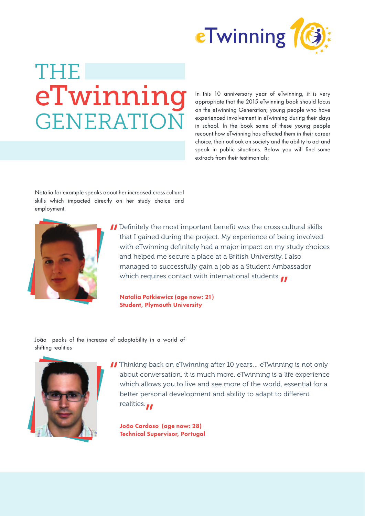

## THE **GENERATIO** en of eTwinning, it is very and the 2015 eTwinning book should focus

appropriate that the 2015 eTwinning book should focus on the eTwinning Generation; young people who have experienced involvement in eTwinning during their days in school. In the book some of these young people recount how eTwinning has affected them in their career choice, their outlook on society and the ability to act and speak in public situations. Below you will find some extracts from their testimonials;

Natalia for example speaks about her increased cross cultural skills which impacted directly on her study choice and employment.



**II** Definitely the most important benefit was the cross cultural skills that I gained during the project. My experience of being involved with eTwinning definitely had a major impact on my study choic that I gained during the project. My experience of being involved with eTwinning definitely had a major impact on my study choices and helped me secure a place at a British University. I also managed to successfully gain a job as a Student Ambassador which requires contact with international students.<br>Natalia Patkiewicz (age now: 21)<br>Student, Blymouth University

Natalia Patkiewicz (age now: 21) Student, Plymouth University

João peaks of the increase of adaptability in a world of shifting realities



II Thinking back on eTwinning after 10 years... eTwinning is not only about conversation, it is much more. eTwinning is a life experience which allows you to live and see more of the world, essential for a about conversation, it is much more. eTwinning is a life experience which allows you to live and see more of the world, essential for a better personal development and ability to adapt to different realities.

realities.<br>João Cardoso (age now: 28)<br><mark>João Cardoso (age now: 28)</mark> Technical Supervisor, Portugal